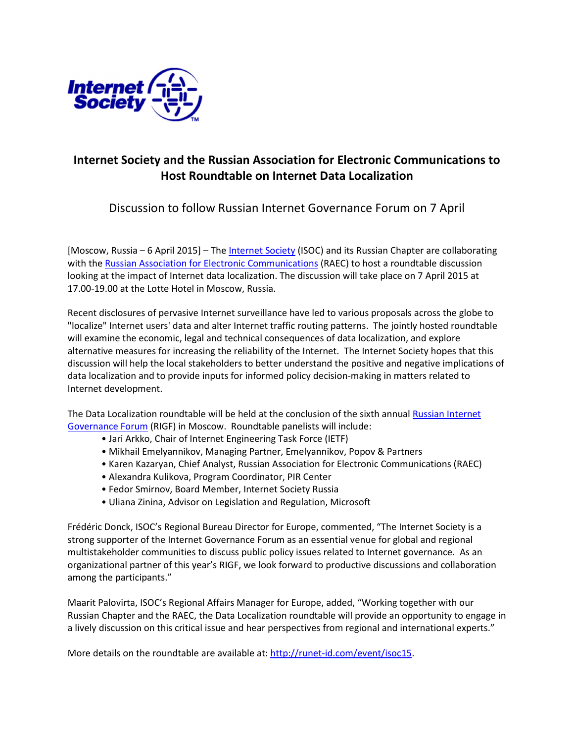

## Internet Society and the Russian Association for Electronic Communications to Host Roundtable on Internet Data Localization

Discussion to follow Russian Internet Governance Forum on 7 April

[Moscow, Russia – 6 April 2015] – The Internet Society (ISOC) and its Russian Chapter are collaborating with the Russian Association for Electronic Communications (RAEC) to host a roundtable discussion looking at the impact of Internet data localization. The discussion will take place on 7 April 2015 at 17.00-19.00 at the Lotte Hotel in Moscow, Russia.

Recent disclosures of pervasive Internet surveillance have led to various proposals across the globe to "localize" Internet users' data and alter Internet traffic routing patterns. The jointly hosted roundtable will examine the economic, legal and technical consequences of data localization, and explore alternative measures for increasing the reliability of the Internet. The Internet Society hopes that this discussion will help the local stakeholders to better understand the positive and negative implications of data localization and to provide inputs for informed policy decision-making in matters related to Internet development.

The Data Localization roundtable will be held at the conclusion of the sixth annual Russian Internet Governance Forum (RIGF) in Moscow. Roundtable panelists will include:

- Jari Arkko, Chair of Internet Engineering Task Force (IETF)
- Mikhail Emelyannikov, Managing Partner, Emelyannikov, Popov & Partners
- Karen Kazaryan, Chief Analyst, Russian Association for Electronic Communications (RAEC)
- Alexandra Kulikova, Program Coordinator, PIR Center
- Fedor Smirnov, Board Member, Internet Society Russia
- Uliana Zinina, Advisor on Legislation and Regulation, Microsoft

Frédéric Donck, ISOC's Regional Bureau Director for Europe, commented, "The Internet Society is a strong supporter of the Internet Governance Forum as an essential venue for global and regional multistakeholder communities to discuss public policy issues related to Internet governance. As an organizational partner of this year's RIGF, we look forward to productive discussions and collaboration among the participants."

Maarit Palovirta, ISOC's Regional Affairs Manager for Europe, added, "Working together with our Russian Chapter and the RAEC, the Data Localization roundtable will provide an opportunity to engage in a lively discussion on this critical issue and hear perspectives from regional and international experts."

More details on the roundtable are available at: http://runet-id.com/event/isoc15.